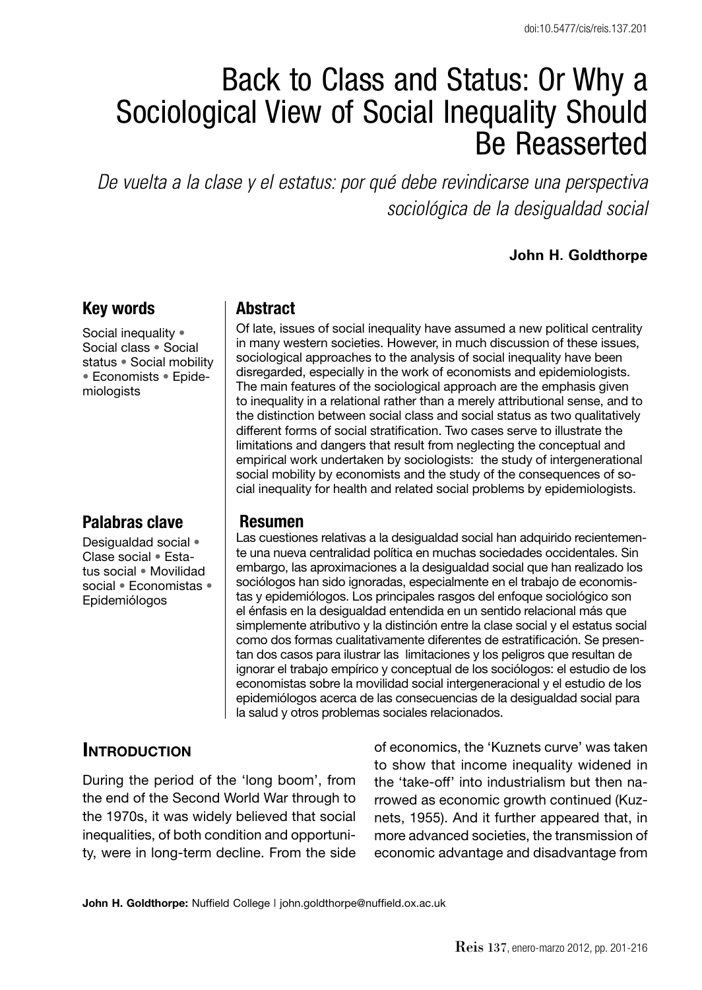# Back to Class and Status: Or Why a Sociological View of Social Inequality Should Be Reasserted

*De vuelta a la clase y el estatus: por qué debe revindicarse una perspectiva sociológica de la desigualdad social*

#### **John H. Goldthorpe**

### **Key words**

Social inequality • Social class • Social status • Social mobility • Economists • Epidemiologists

# **Palabras clave**

Desigualdad social • Clase social • Estatus social • Movilidad social • Economistas • Epidemiólogos

# **Abstract**

Of late, issues of social inequality have assumed a new political centrality in many western societies. However, in much discussion of these issues, sociological approaches to the analysis of social inequality have been disregarded, especially in the work of economists and epidemiologists. The main features of the sociological approach are the emphasis given to inequality in a relational rather than a merely attributional sense, and to the distinction between social class and social status as two qualitatively different forms of social stratification. Two cases serve to illustrate the limitations and dangers that result from neglecting the conceptual and empirical work undertaken by sociologists: the study of intergenerational social mobility by economists and the study of the consequences of social inequality for health and related social problems by epidemiologists.

#### **Resumen**

Las cuestiones relativas a la desigualdad social han adquirido recientemente una nueva centralidad política en muchas sociedades occidentales. Sin embargo, las aproximaciones a la desigualdad social que han realizado los sociólogos han sido ignoradas, especialmente en el trabajo de economistas y epidemiólogos. Los principales rasgos del enfoque sociológico son el énfasis en la desigualdad entendida en un sentido relacional más que simplemente atributivo y la distinción entre la clase social y el estatus social como dos formas cualitativamente diferentes de estratificación. Se presentan dos casos para ilustrar las limitaciones y los peligros que resultan de ignorar el trabajo empírico y conceptual de los sociólogos: el estudio de los economistas sobre la movilidad social intergeneracional y el estudio de los epidemiólogos acerca de las consecuencias de la desigualdad social para la salud y otros problemas sociales relacionados.

# **INTRODUCTION**

During the period of the 'long boom', from the end of the Second World War through to the 1970s, it was widely believed that social inequalities, of both condition and opportunity, were in long-term decline. From the side of economics, the 'Kuznets curve' was taken to show that income inequality widened in the 'take-off' into industrialism but then narrowed as economic growth continued (Kuznets, 1955). And it further appeared that, in more advanced societies, the transmission of economic advantage and disadvantage from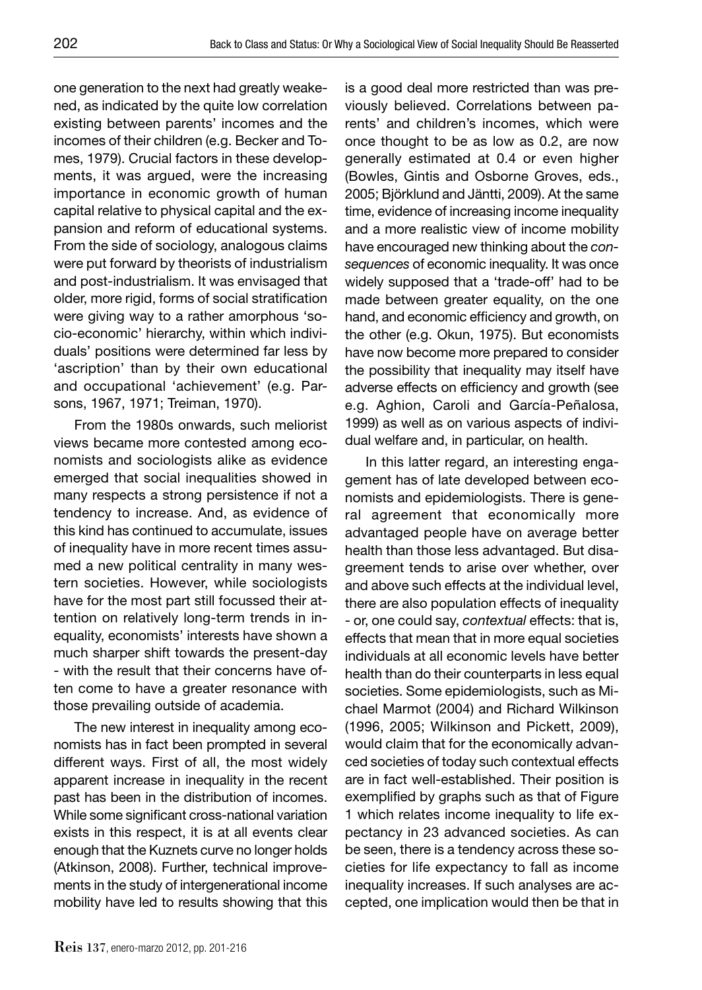one generation to the next had greatly weakened, as indicated by the quite low correlation existing between parents' incomes and the incomes of their children (e.g. Becker and Tomes, 1979). Crucial factors in these developments, it was argued, were the increasing importance in economic growth of human capital relative to physical capital and the expansion and reform of educational systems. From the side of sociology, analogous claims were put forward by theorists of industrialism and post-industrialism. It was envisaged that older, more rigid, forms of social stratification were giving way to a rather amorphous 'socio-economic' hierarchy, within which individuals' positions were determined far less by 'ascription' than by their own educational and occupational 'achievement' (e.g. Parsons, 1967, 1971; Treiman, 1970).

From the 1980s onwards, such meliorist views became more contested among economists and sociologists alike as evidence emerged that social inequalities showed in many respects a strong persistence if not a tendency to increase. And, as evidence of this kind has continued to accumulate, issues of inequality have in more recent times assumed a new political centrality in many western societies. However, while sociologists have for the most part still focussed their attention on relatively long-term trends in inequality, economists' interests have shown a much sharper shift towards the present-day - with the result that their concerns have often come to have a greater resonance with those prevailing outside of academia.

The new interest in inequality among economists has in fact been prompted in several different ways. First of all, the most widely apparent increase in inequality in the recent past has been in the distribution of incomes. While some significant cross-national variation exists in this respect, it is at all events clear enough that the Kuznets curve no longer holds (Atkinson, 2008). Further, technical improvements in the study of intergenerational income mobility have led to results showing that this

is a good deal more restricted than was previously believed. Correlations between parents' and children's incomes, which were once thought to be as low as 0.2, are now generally estimated at 0.4 or even higher (Bowles, Gintis and Osborne Groves, eds., 2005; Björklund and Jäntti, 2009). At the same time, evidence of increasing income inequality and a more realistic view of income mobility have encouraged new thinking about the *consequences* of economic inequality. It was once widely supposed that a 'trade-off' had to be made between greater equality, on the one hand, and economic efficiency and growth, on the other (e.g. Okun, 1975). But economists have now become more prepared to consider the possibility that inequality may itself have adverse effects on efficiency and growth (see e.g. Aghion, Caroli and García-Peñalosa, 1999) as well as on various aspects of individual welfare and, in particular, on health.

In this latter regard, an interesting engagement has of late developed between economists and epidemiologists. There is general agreement that economically more advantaged people have on average better health than those less advantaged. But disagreement tends to arise over whether, over and above such effects at the individual level, there are also population effects of inequality - or, one could say, *contextual* effects: that is, effects that mean that in more equal societies individuals at all economic levels have better health than do their counterparts in less equal societies. Some epidemiologists, such as Michael Marmot (2004) and Richard Wilkinson (1996, 2005; Wilkinson and Pickett, 2009), would claim that for the economically advanced societies of today such contextual effects are in fact well-established. Their position is exemplified by graphs such as that of Figure 1 which relates income inequality to life expectancy in 23 advanced societies. As can be seen, there is a tendency across these societies for life expectancy to fall as income inequality increases. If such analyses are accepted, one implication would then be that in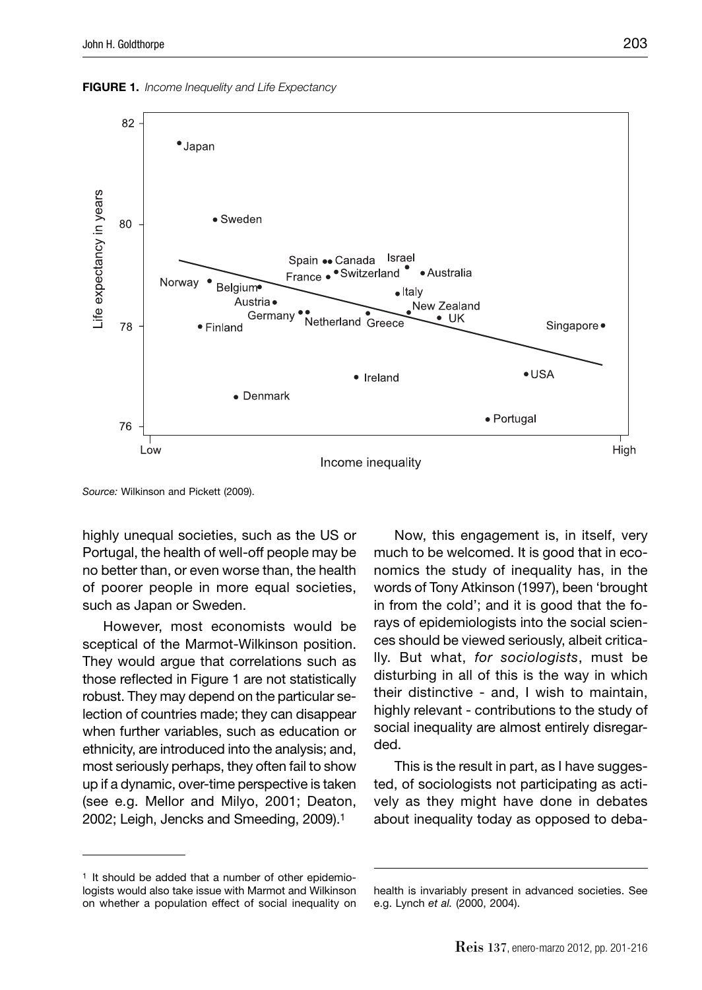**FIGURE 1.** *Income Inequelity and Life Expectancy*



*Source:* Wilkinson and Pickett (2009).

highly unequal societies, such as the US or Portugal, the health of well-off people may be no better than, or even worse than, the health of poorer people in more equal societies, such as Japan or Sweden.

However, most economists would be sceptical of the Marmot-Wilkinson position. They would argue that correlations such as those reflected in Figure 1 are not statistically robust. They may depend on the particular selection of countries made; they can disappear when further variables, such as education or ethnicity, are introduced into the analysis; and, most seriously perhaps, they often fail to show up if a dynamic, over-time perspective is taken (see e.g. Mellor and Milyo, 2001; Deaton, 2002; Leigh, Jencks and Smeeding, 2009).1

Now, this engagement is, in itself, very much to be welcomed. It is good that in economics the study of inequality has, in the words of Tony Atkinson (1997), been 'brought in from the cold'; and it is good that the forays of epidemiologists into the social sciences should be viewed seriously, albeit critically. But what, *for sociologists*, must be disturbing in all of this is the way in which their distinctive - and, I wish to maintain, highly relevant - contributions to the study of social inequality are almost entirely disregarded.

This is the result in part, as I have suggested, of sociologists not participating as actively as they might have done in debates about inequality today as opposed to deba-

<sup>1</sup> It should be added that a number of other epidemiologists would also take issue with Marmot and Wilkinson on whether a population effect of social inequality on

health is invariably present in advanced societies. See e.g. Lynch *et al.* (2000, 2004).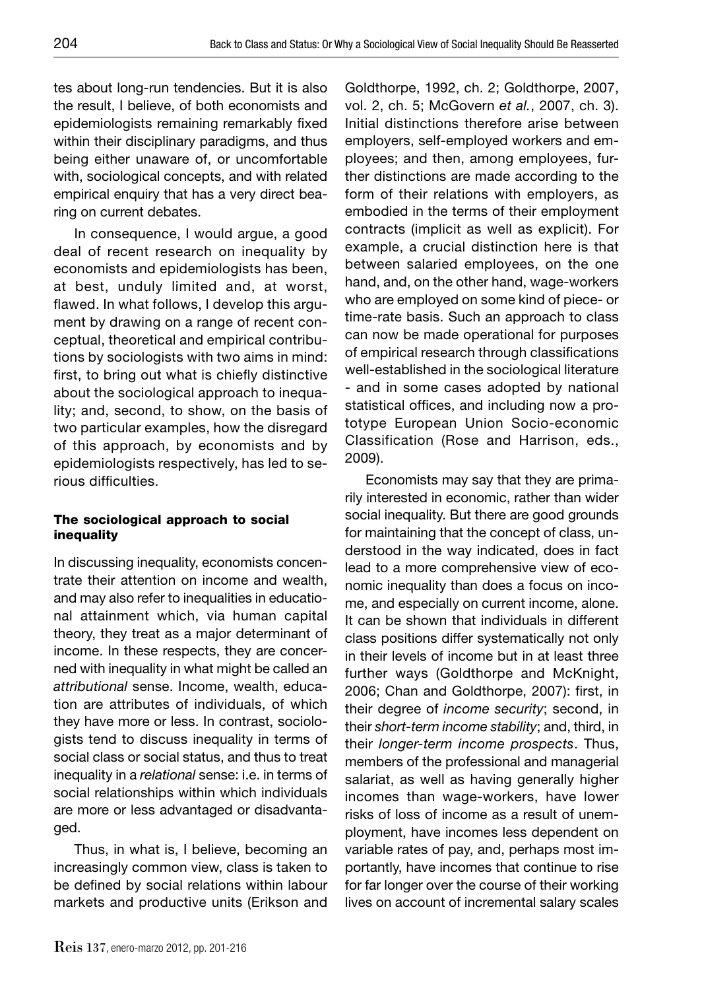tes about long-run tendencies. But it is also the result, I believe, of both economists and epidemiologists remaining remarkably fixed within their disciplinary paradigms, and thus being either unaware of, or uncomfortable with, sociological concepts, and with related empirical enquiry that has a very direct bearing on current debates.

In consequence, I would argue, a good deal of recent research on inequality by economists and epidemiologists has been, at best, unduly limited and, at worst, flawed. In what follows, I develop this argument by drawing on a range of recent conceptual, theoretical and empirical contributions by sociologists with two aims in mind: first, to bring out what is chiefly distinctive about the sociological approach to inequality; and, second, to show, on the basis of two particular examples, how the disregard of this approach, by economists and by epidemiologists respectively, has led to serious difficulties.

#### **The sociological approach to social inequality**

In discussing inequality, economists concentrate their attention on income and wealth, and may also refer to inequalities in educational attainment which, via human capital theory, they treat as a major determinant of income. In these respects, they are concerned with inequality in what might be called an *attributional* sense. Income, wealth, education are attributes of individuals, of which they have more or less. In contrast, sociologists tend to discuss inequality in terms of social class or social status, and thus to treat inequality in a *relational* sense: i.e. in terms of social relationships within which individuals are more or less advantaged or disadvantaged.

Thus, in what is, I believe, becoming an increasingly common view, class is taken to be defined by social relations within labour markets and productive units (Erikson and

Goldthorpe, 1992, ch. 2; Goldthorpe, 2007, vol. 2, ch. 5; McGovern *et al.*, 2007, ch. 3). Initial distinctions therefore arise between employers, self-employed workers and employees; and then, among employees, further distinctions are made according to the form of their relations with employers, as embodied in the terms of their employment contracts (implicit as well as explicit). For example, a crucial distinction here is that between salaried employees, on the one hand, and, on the other hand, wage-workers who are employed on some kind of piece- or time-rate basis. Such an approach to class can now be made operational for purposes of empirical research through classifications well-established in the sociological literature - and in some cases adopted by national statistical offices, and including now a prototype European Union Socio-economic Classification (Rose and Harrison, eds., 2009).

Economists may say that they are primarily interested in economic, rather than wider social inequality. But there are good grounds for maintaining that the concept of class, understood in the way indicated, does in fact lead to a more comprehensive view of economic inequality than does a focus on income, and especially on current income, alone. It can be shown that individuals in different class positions differ systematically not only in their levels of income but in at least three further ways (Goldthorpe and McKnight, 2006; Chan and Goldthorpe, 2007): first, in their degree of *income security*; second, in their *short-term income stability*; and, third, in their *longer-term income prospects*. Thus, members of the professional and managerial salariat, as well as having generally higher incomes than wage-workers, have lower risks of loss of income as a result of unemployment, have incomes less dependent on variable rates of pay, and, perhaps most importantly, have incomes that continue to rise for far longer over the course of their working lives on account of incremental salary scales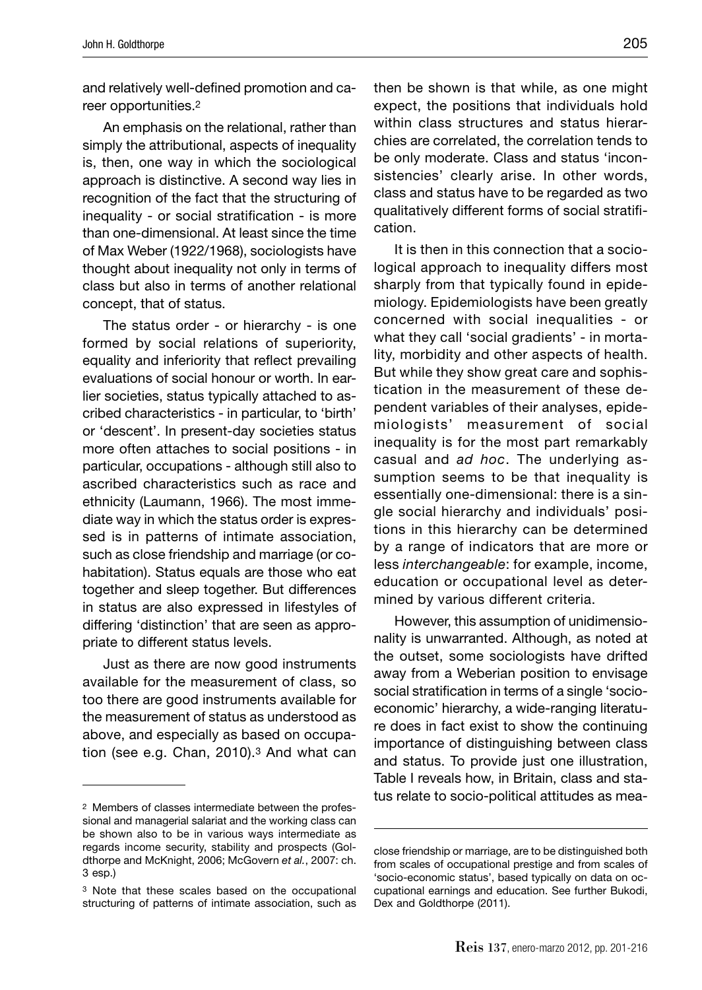and relatively well-defined promotion and career opportunities.2

An emphasis on the relational, rather than simply the attributional, aspects of inequality is, then, one way in which the sociological approach is distinctive. A second way lies in recognition of the fact that the structuring of inequality - or social stratification - is more than one-dimensional. At least since the time of Max Weber (1922/1968), sociologists have thought about inequality not only in terms of class but also in terms of another relational concept, that of status.

The status order - or hierarchy - is one formed by social relations of superiority, equality and inferiority that reflect prevailing evaluations of social honour or worth. In earlier societies, status typically attached to ascribed characteristics - in particular, to 'birth' or 'descent'. In present-day societies status more often attaches to social positions - in particular, occupations - although still also to ascribed characteristics such as race and ethnicity (Laumann, 1966). The most immediate way in which the status order is expressed is in patterns of intimate association, such as close friendship and marriage (or cohabitation). Status equals are those who eat together and sleep together. But differences in status are also expressed in lifestyles of differing 'distinction' that are seen as appropriate to different status levels.

Just as there are now good instruments available for the measurement of class, so too there are good instruments available for the measurement of status as understood as above, and especially as based on occupation (see e.g. Chan, 2010).<sup>3</sup> And what can then be shown is that while, as one might expect, the positions that individuals hold within class structures and status hierarchies are correlated, the correlation tends to be only moderate. Class and status 'inconsistencies' clearly arise. In other words, class and status have to be regarded as two qualitatively different forms of social stratification.

It is then in this connection that a sociological approach to inequality differs most sharply from that typically found in epidemiology. Epidemiologists have been greatly concerned with social inequalities - or what they call 'social gradients' - in mortality, morbidity and other aspects of health. But while they show great care and sophistication in the measurement of these dependent variables of their analyses, epidemiologists' measurement of social inequality is for the most part remarkably casual and *ad hoc*. The underlying assumption seems to be that inequality is essentially one-dimensional: there is a single social hierarchy and individuals' positions in this hierarchy can be determined by a range of indicators that are more or less *interchangeable*: for example, income, education or occupational level as determined by various different criteria.

However, this assumption of unidimensionality is unwarranted. Although, as noted at the outset, some sociologists have drifted away from a Weberian position to envisage social stratification in terms of a single 'socioeconomic' hierarchy, a wide-ranging literature does in fact exist to show the continuing importance of distinguishing between class and status. To provide just one illustration, Table I reveals how, in Britain, class and status relate to socio-political attitudes as mea-

<sup>2</sup> Members of classes intermediate between the professional and managerial salariat and the working class can be shown also to be in various ways intermediate as regards income security, stability and prospects (Goldthorpe and McKnight, 2006; McGovern *et al.*, 2007: ch. 3 esp.)

<sup>3</sup> Note that these scales based on the occupational structuring of patterns of intimate association, such as

close friendship or marriage, are to be distinguished both from scales of occupational prestige and from scales of 'socio-economic status', based typically on data on occupational earnings and education. See further Bukodi, Dex and Goldthorpe (2011).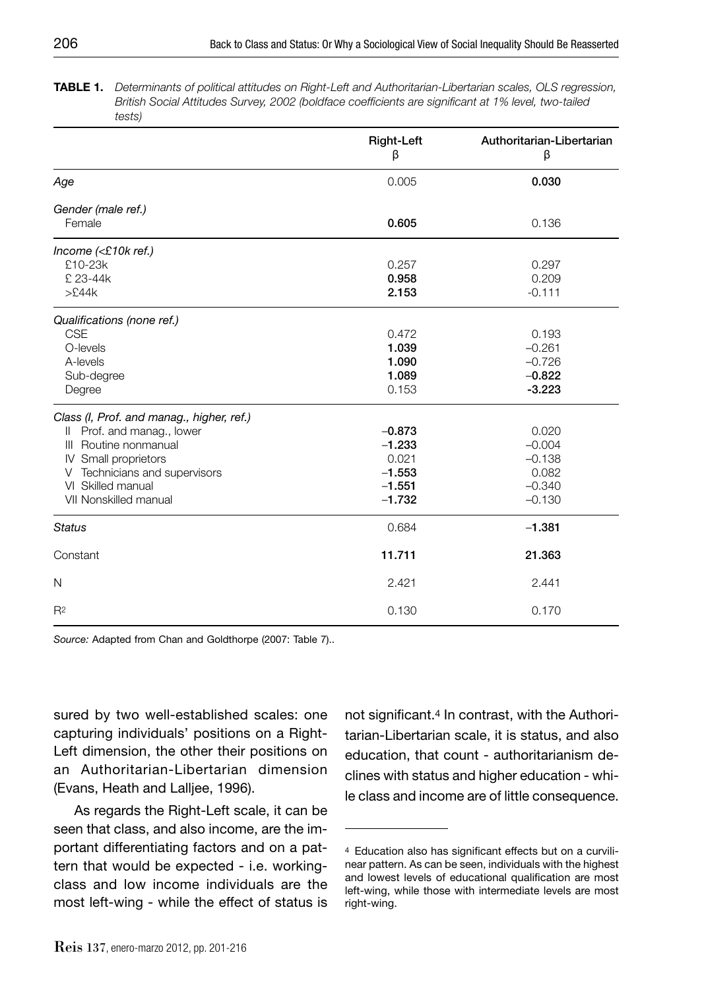| <b>TABLE 1.</b> Determinants of political attitudes on Right-Left and Authoritarian-Libertarian scales, OLS regression, |
|-------------------------------------------------------------------------------------------------------------------------|
| British Social Attitudes Survey, 2002 (boldface coefficients are significant at 1% level, two-tailed                    |
| tests)                                                                                                                  |

|                                           | <b>Right-Left</b><br>β | Authoritarian-Libertarian<br>β |
|-------------------------------------------|------------------------|--------------------------------|
| Age                                       | 0.005                  | 0.030                          |
| Gender (male ref.)                        |                        |                                |
| Female                                    | 0.605                  | 0.136                          |
| Income $\leq$ 10k ref.)                   |                        |                                |
| £10-23k                                   | 0.257                  | 0.297                          |
| £ 23-44k                                  | 0.958                  | 0.209                          |
| >E44k                                     | 2.153                  | $-0.111$                       |
| Qualifications (none ref.)                |                        |                                |
| <b>CSE</b>                                | 0.472                  | 0.193                          |
| O-levels                                  | 1.039                  | $-0.261$                       |
| A-levels                                  | 1.090                  | $-0.726$                       |
| Sub-degree                                | 1.089                  | $-0.822$                       |
| Degree                                    | 0.153                  | $-3.223$                       |
| Class (I, Prof. and manag., higher, ref.) |                        |                                |
| II Prof. and manag., lower                | $-0.873$               | 0.020                          |
| Routine nonmanual<br>Ш                    | $-1.233$               | $-0.004$                       |
| IV Small proprietors                      | 0.021                  | $-0.138$                       |
| Technicians and supervisors<br>V          | $-1.553$               | 0.082                          |
| VI Skilled manual                         | $-1.551$               | $-0.340$                       |
| VII Nonskilled manual                     | $-1.732$               | $-0.130$                       |
| <b>Status</b>                             | 0.684                  | $-1.381$                       |
| Constant                                  | 11.711                 | 21.363                         |
| N                                         | 2.421                  | 2.441                          |
| R <sup>2</sup>                            | 0.130                  | 0.170                          |

*Source:* Adapted from Chan and Goldthorpe (2007: Table 7)..

sured by two well-established scales: one capturing individuals' positions on a Right-Left dimension, the other their positions on an Authoritarian-Libertarian dimension (Evans, Heath and Lalljee, 1996).

As regards the Right-Left scale, it can be seen that class, and also income, are the important differentiating factors and on a pattern that would be expected - i.e. workingclass and low income individuals are the most left-wing - while the effect of status is

not significant.<sup>4</sup> In contrast, with the Authoritarian-Libertarian scale, it is status, and also education, that count - authoritarianism declines with status and higher education - while class and income are of little consequence.

<sup>4</sup> Education also has significant effects but on a curvilinear pattern. As can be seen, individuals with the highest and lowest levels of educational qualification are most left-wing, while those with intermediate levels are most right-wing.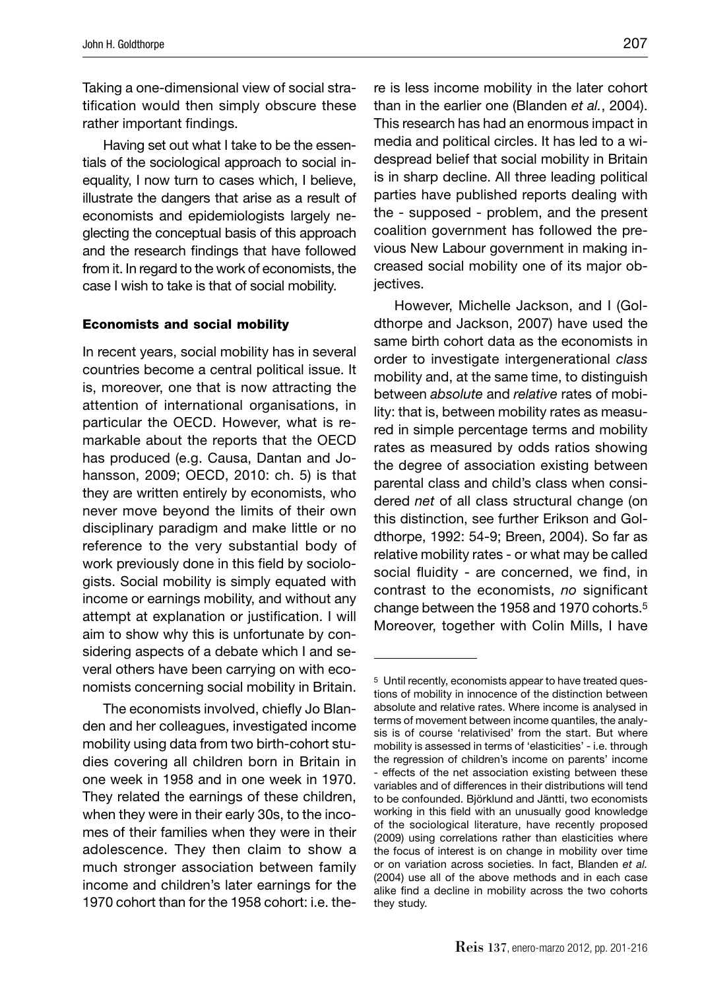Taking a one-dimensional view of social stratification would then simply obscure these rather important findings.

Having set out what I take to be the essentials of the sociological approach to social inequality, I now turn to cases which, I believe, illustrate the dangers that arise as a result of economists and epidemiologists largely neglecting the conceptual basis of this approach and the research findings that have followed from it. In regard to the work of economists, the case I wish to take is that of social mobility.

#### **Economists and social mobility**

In recent years, social mobility has in several countries become a central political issue. It is, moreover, one that is now attracting the attention of international organisations, in particular the OECD. However, what is remarkable about the reports that the OECD has produced (e.g. Causa, Dantan and Johansson, 2009; OECD, 2010: ch. 5) is that they are written entirely by economists, who never move beyond the limits of their own disciplinary paradigm and make little or no reference to the very substantial body of work previously done in this field by sociologists. Social mobility is simply equated with income or earnings mobility, and without any attempt at explanation or justification. I will aim to show why this is unfortunate by considering aspects of a debate which I and several others have been carrying on with economists concerning social mobility in Britain.

The economists involved, chiefly Jo Blanden and her colleagues, investigated income mobility using data from two birth-cohort studies covering all children born in Britain in one week in 1958 and in one week in 1970. They related the earnings of these children, when they were in their early 30s, to the incomes of their families when they were in their adolescence. They then claim to show a much stronger association between family income and children's later earnings for the 1970 cohort than for the 1958 cohort: i.e. the-

re is less income mobility in the later cohort than in the earlier one (Blanden *et al.*, 2004). This research has had an enormous impact in media and political circles. It has led to a widespread belief that social mobility in Britain is in sharp decline. All three leading political parties have published reports dealing with the - supposed - problem, and the present coalition government has followed the previous New Labour government in making increased social mobility one of its major obiectives.

However, Michelle Jackson, and I (Goldthorpe and Jackson, 2007) have used the same birth cohort data as the economists in order to investigate intergenerational *class* mobility and, at the same time, to distinguish between *absolute* and *relative* rates of mobility: that is, between mobility rates as measured in simple percentage terms and mobility rates as measured by odds ratios showing the degree of association existing between parental class and child's class when considered *net* of all class structural change (on this distinction, see further Erikson and Goldthorpe, 1992: 54-9; Breen, 2004). So far as relative mobility rates - or what may be called social fluidity - are concerned, we find, in contrast to the economists, no significant change between the 1958 and 1970 cohorts.5 Moreover, together with Colin Mills, I have

<sup>5</sup> Until recently, economists appear to have treated questions of mobility in innocence of the distinction between absolute and relative rates. Where income is analysed in terms of movement between income quantiles, the analysis is of course 'relativised' from the start. But where mobility is assessed in terms of 'elasticities' - i.e. through the regression of children's income on parents' income - effects of the net association existing between these variables and of differences in their distributions will tend to be confounded. Björklund and Jäntti, two economists working in this field with an unusually good knowledge of the sociological literature, have recently proposed (2009) using correlations rather than elasticities where the focus of interest is on change in mobility over time or on variation across societies. In fact, Blanden *et al.* (2004) use all of the above methods and in each case alike find a decline in mobility across the two cohorts they study.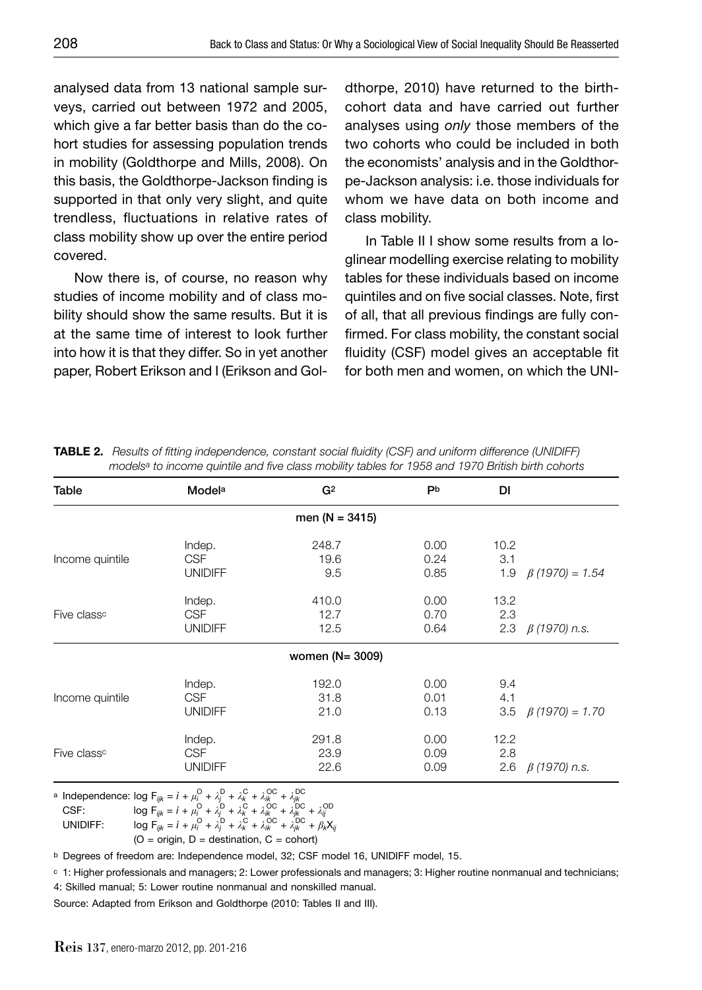analysed data from 13 national sample surveys, carried out between 1972 and 2005, which give a far better basis than do the cohort studies for assessing population trends in mobility (Goldthorpe and Mills, 2008). On this basis, the Goldthorpe-Jackson finding is supported in that only very slight, and quite trendless, fluctuations in relative rates of class mobility show up over the entire period covered.

Now there is, of course, no reason why studies of income mobility and of class mobility should show the same results. But it is at the same time of interest to look further into how it is that they differ. So in yet another paper, Robert Erikson and I (Erikson and Gol-

dthorpe, 2010) have returned to the birthcohort data and have carried out further analyses using *only* those members of the two cohorts who could be included in both the economists' analysis and in the Goldthorpe-Jackson analysis: i.e. those individuals for whom we have data on both income and class mobility.

In Table II I show some results from a loglinear modelling exercise relating to mobility tables for these individuals based on income quintiles and on five social classes. Note, first of all, that all previous findings are fully confirmed. For class mobility, the constant social fluidity (CSF) model gives an acceptable fit for both men and women, on which the UNI-

| Table                   | Modela                                 | G <sup>2</sup>        | Pb                   | DI                 |                           |
|-------------------------|----------------------------------------|-----------------------|----------------------|--------------------|---------------------------|
|                         |                                        | men ( $N = 3415$ )    |                      |                    |                           |
| Income quintile         | Indep.<br><b>CSF</b>                   | 248.7<br>19.6         | 0.00<br>0.24         | 10.2<br>3.1        |                           |
|                         | <b>UNIDIFF</b>                         | 9.5                   | 0.85                 |                    | 1.9 $\beta$ (1970) = 1.54 |
| Five class <sup>c</sup> | Indep.<br><b>CSF</b>                   | 410.0<br>12.7         | 0.00<br>0.70         | 13.2<br>2.3        |                           |
|                         | <b>UNIDIFF</b>                         | 12.5                  | 0.64                 |                    | 2.3 $\beta$ (1970) n.s.   |
|                         |                                        | women (N= 3009)       |                      |                    |                           |
| Income quintile         | Indep.<br><b>CSF</b><br><b>UNIDIFF</b> | 192.0<br>31.8<br>21.0 | 0.00<br>0.01<br>0.13 | 9.4<br>4.1         | 3.5 $\beta$ (1970) = 1.70 |
| Five class <sup>c</sup> | Indep.<br><b>CSF</b><br><b>UNIDIFF</b> | 291.8<br>23.9<br>22.6 | 0.00<br>0.09<br>0.09 | 12.2<br>2.8<br>2.6 | β (1970) n.s.             |

**TABLE 2.** Results of fitting independence, constant social fluidity (CSF) and uniform difference (UNIDIFF) *models<sup>a</sup> to income quintile and five class mobility tables for 1958 and 1970 British birth cohorts* 

a Independence:  $\log F_{ijk} = \hat{i} + \mu_i^O + \lambda_j^D + \lambda_k^C + \lambda_{ik}^{OC} + \lambda_{jk}^{DC}$ 

CSF:  $log F_{ijk} = \hat{i} + \mu_i^O + \lambda_i^O + \lambda_k^O + \lambda_{ik}^{OC} + \lambda_{jk}^{DC} + \lambda_{ij}^{OO}$ 

UNIDIFF:  $log F_{ijk} = \hat{i} + \mu_i^{\text{O}} + \lambda_j^{\text{D}} + \lambda_k^{\text{C}} + \lambda_{ik}^{\text{OC}} + \lambda_{jk}^{\text{DC}} + \beta_k X_{ij}$ 

 $(O = origin, D = destination, C = cohort)$ 

b Degrees of freedom are: Independence model, 32; CSF model 16, UNIDIFF model, 15.

c 1: Higher professionals and managers; 2: Lower professionals and managers; 3: Higher routine nonmanual and technicians;

4: Skilled manual; 5: Lower routine nonmanual and nonskilled manual.

Source: Adapted from Erikson and Goldthorpe (2010: Tables II and III).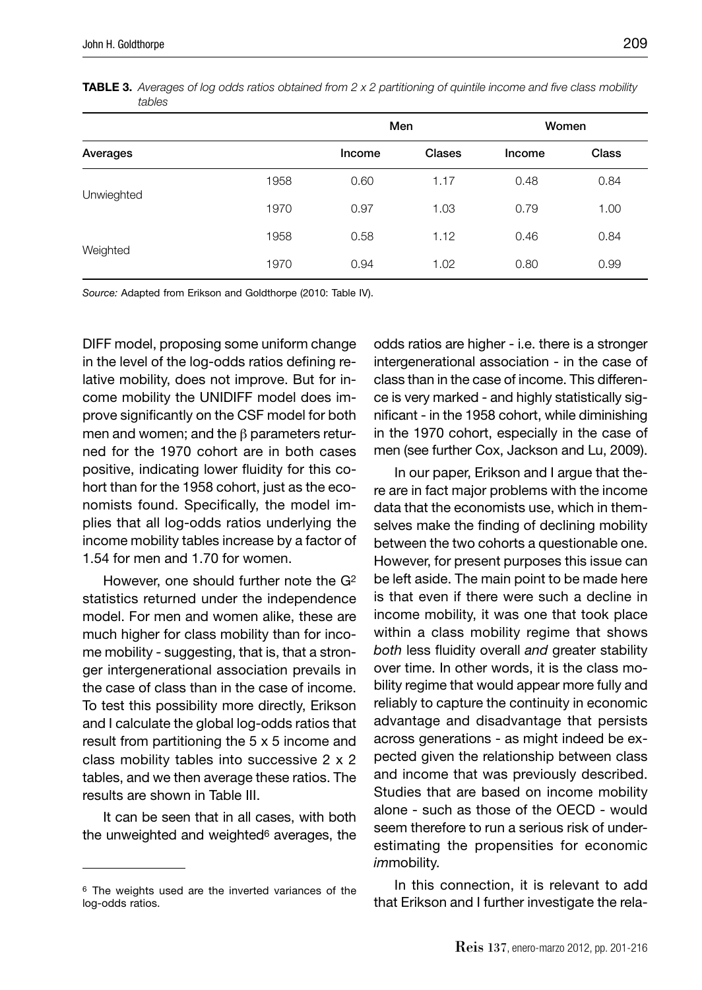|            |      | Men    |        | Women  |       |
|------------|------|--------|--------|--------|-------|
| Averages   |      | Income | Clases | Income | Class |
|            | 1958 | 0.60   | 1.17   | 0.48   | 0.84  |
| Unwieghted | 1970 | 0.97   | 1.03   | 0.79   | 1.00  |
|            | 1958 | 0.58   | 1.12   | 0.46   | 0.84  |
| Weighted   | 1970 | 0.94   | 1.02   | 0.80   | 0.99  |

**TABLE 3.** Averages of log odds ratios obtained from 2 x 2 partitioning of quintile income and five class mobility *tables*

*Source:* Adapted from Erikson and Goldthorpe (2010: Table IV).

DIFF model, proposing some uniform change in the level of the log-odds ratios defining relative mobility, does not improve. But for income mobility the UNIDIFF model does improve significantly on the CSF model for both men and women; and the β parameters returned for the 1970 cohort are in both cases positive, indicating lower fluidity for this cohort than for the 1958 cohort, just as the economists found. Specifically, the model implies that all log-odds ratios underlying the income mobility tables increase by a factor of 1.54 for men and 1.70 for women.

However, one should further note the G2 statistics returned under the independence model. For men and women alike, these are much higher for class mobility than for income mobility - suggesting, that is, that a stronger intergenerational association prevails in the case of class than in the case of income. To test this possibility more directly, Erikson and I calculate the global log-odds ratios that result from partitioning the 5 x 5 income and class mobility tables into successive 2 x 2 tables, and we then average these ratios. The results are shown in Table III.

It can be seen that in all cases, with both the unweighted and weighted<sup>6</sup> averages, the odds ratios are higher - i.e. there is a stronger intergenerational association - in the case of class than in the case of income. This difference is very marked - and highly statistically significant - in the 1958 cohort, while diminishing in the 1970 cohort, especially in the case of men (see further Cox, Jackson and Lu, 2009).

In our paper, Erikson and I argue that there are in fact major problems with the income data that the economists use, which in themselves make the finding of declining mobility between the two cohorts a questionable one. However, for present purposes this issue can be left aside. The main point to be made here is that even if there were such a decline in income mobility, it was one that took place within a class mobility regime that shows *both* less fluidity overall and greater stability over time. In other words, it is the class mobility regime that would appear more fully and reliably to capture the continuity in economic advantage and disadvantage that persists across generations - as might indeed be expected given the relationship between class and income that was previously described. Studies that are based on income mobility alone - such as those of the OECD - would seem therefore to run a serious risk of underestimating the propensities for economic *im*mobility.

In this connection, it is relevant to add that Erikson and I further investigate the rela-

<sup>6</sup> The weights used are the inverted variances of the log-odds ratios.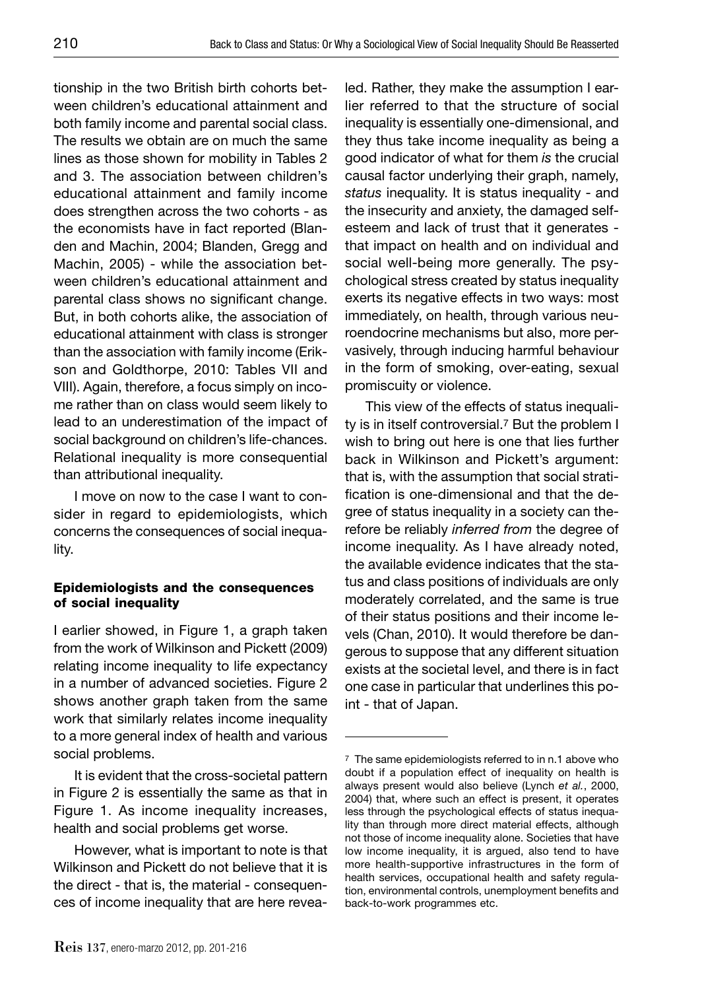tionship in the two British birth cohorts between children's educational attainment and both family income and parental social class. The results we obtain are on much the same lines as those shown for mobility in Tables 2 and 3. The association between children's educational attainment and family income does strengthen across the two cohorts - as the economists have in fact reported (Blanden and Machin, 2004; Blanden, Gregg and Machin, 2005) - while the association between children's educational attainment and parental class shows no significant change. But, in both cohorts alike, the association of educational attainment with class is stronger than the association with family income (Erikson and Goldthorpe, 2010: Tables VII and VIII). Again, therefore, a focus simply on income rather than on class would seem likely to lead to an underestimation of the impact of social background on children's life-chances. Relational inequality is more consequential than attributional inequality.

I move on now to the case I want to consider in regard to epidemiologists, which concerns the consequences of social inequality.

#### **Epidemiologists and the consequences of social inequality**

I earlier showed, in Figure 1, a graph taken from the work of Wilkinson and Pickett (2009) relating income inequality to life expectancy in a number of advanced societies. Figure 2 shows another graph taken from the same work that similarly relates income inequality to a more general index of health and various social problems.

It is evident that the cross-societal pattern in Figure 2 is essentially the same as that in Figure 1. As income inequality increases, health and social problems get worse.

However, what is important to note is that Wilkinson and Pickett do not believe that it is the direct - that is, the material - consequences of income inequality that are here revea-

led. Rather, they make the assumption I earlier referred to that the structure of social inequality is essentially one-dimensional, and they thus take income inequality as being a good indicator of what for them *is* the crucial causal factor underlying their graph, namely, *status* inequality. It is status inequality - and the insecurity and anxiety, the damaged selfesteem and lack of trust that it generates that impact on health and on individual and social well-being more generally. The psychological stress created by status inequality exerts its negative effects in two ways: most immediately, on health, through various neuroendocrine mechanisms but also, more pervasively, through inducing harmful behaviour in the form of smoking, over-eating, sexual promiscuity or violence.

This view of the effects of status inequality is in itself controversial.<sup>7</sup> But the problem I wish to bring out here is one that lies further back in Wilkinson and Pickett's argument: that is, with the assumption that social stratification is one-dimensional and that the degree of status inequality in a society can therefore be reliably *inferred from* the degree of income inequality. As I have already noted, the available evidence indicates that the status and class positions of individuals are only moderately correlated, and the same is true of their status positions and their income levels (Chan, 2010). It would therefore be dangerous to suppose that any different situation exists at the societal level, and there is in fact one case in particular that underlines this point - that of Japan.

<sup>7</sup> The same epidemiologists referred to in n.1 above who doubt if a population effect of inequality on health is always present would also believe (Lynch *et al.*, 2000, 2004) that, where such an effect is present, it operates less through the psychological effects of status inequality than through more direct material effects, although not those of income inequality alone. Societies that have low income inequality, it is argued, also tend to have more health-supportive infrastructures in the form of health services, occupational health and safety regulation, environmental controls, unemployment benefits and back-to-work programmes etc.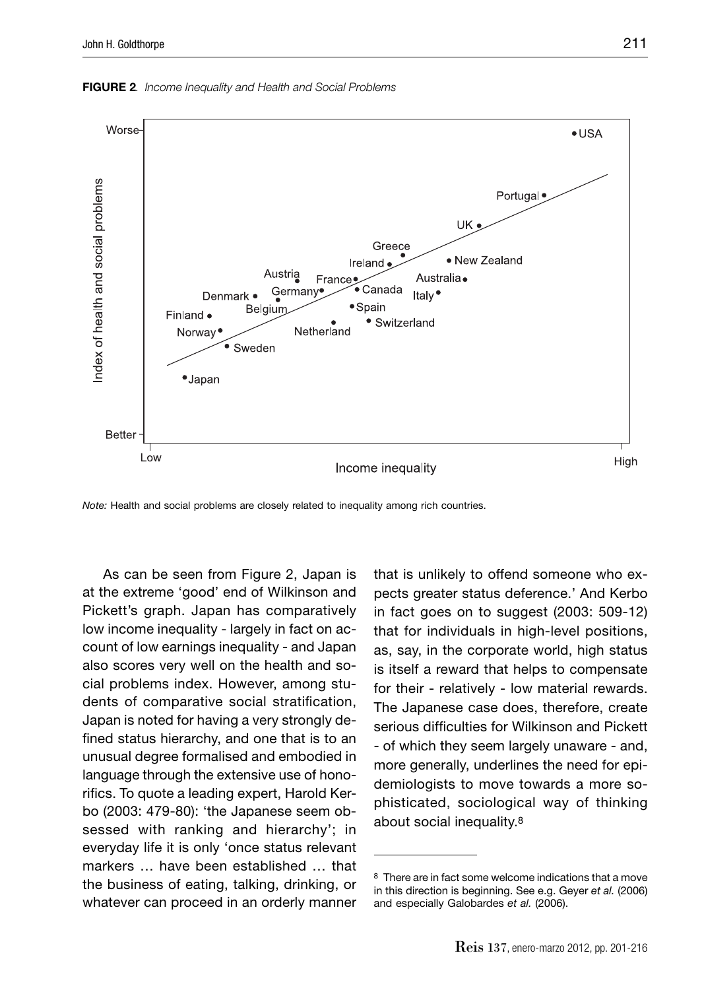



*Note:* Health and social problems are closely related to inequality among rich countries.

As can be seen from Figure 2, Japan is at the extreme 'good' end of Wilkinson and Pickett's graph. Japan has comparatively low income inequality - largely in fact on account of low earnings inequality - and Japan also scores very well on the health and social problems index. However, among students of comparative social stratification, Japan is noted for having a very strongly defined status hierarchy, and one that is to an unusual degree formalised and embodied in language through the extensive use of honorifics. To quote a leading expert, Harold Kerbo (2003: 479-80): 'the Japanese seem obsessed with ranking and hierarchy'; in everyday life it is only 'once status relevant markers … have been established … that the business of eating, talking, drinking, or whatever can proceed in an orderly manner that is unlikely to offend someone who expects greater status deference.' And Kerbo in fact goes on to suggest (2003: 509-12) that for individuals in high-level positions, as, say, in the corporate world, high status is itself a reward that helps to compensate for their - relatively - low material rewards. The Japanese case does, therefore, create serious difficulties for Wilkinson and Pickett - of which they seem largely unaware - and, more generally, underlines the need for epidemiologists to move towards a more sophisticated, sociological way of thinking about social inequality.8

<sup>8</sup> There are in fact some welcome indications that a move in this direction is beginning. See e.g. Geyer *et al.* (2006) and especially Galobardes *et al.* (2006).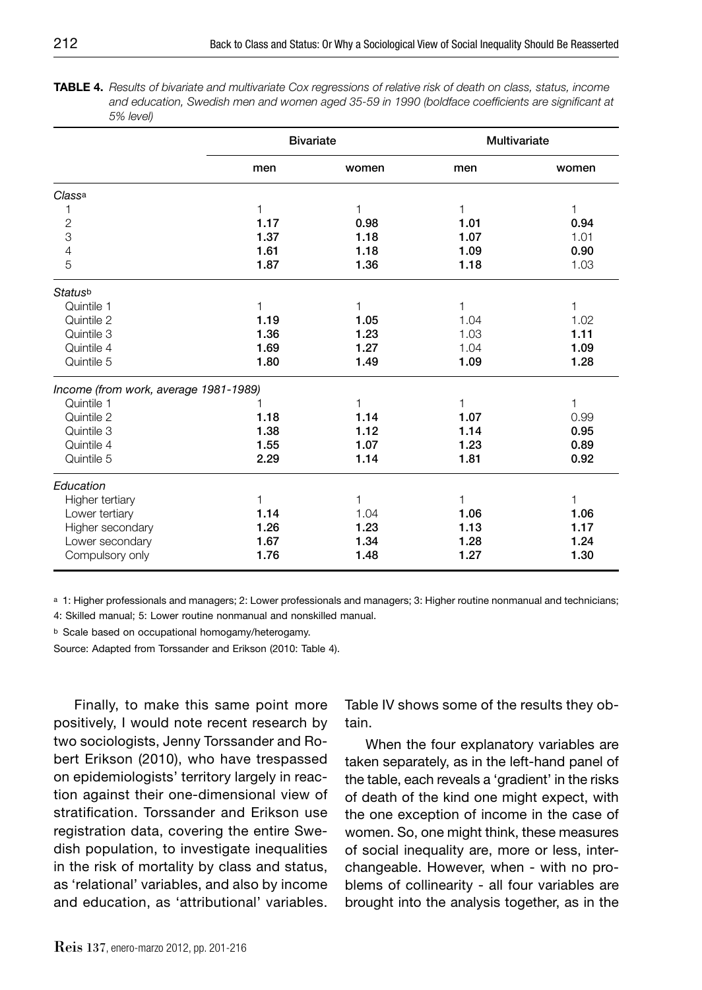**TABLE 4.** *Results of bivariate and multivariate Cox regressions of relative risk of death on class, status, income*  and education, Swedish men and women aged 35-59 in 1990 (boldface coefficients are significant at *5% level)*

|                                       | <b>Bivariate</b> |       | Multivariate |       |
|---------------------------------------|------------------|-------|--------------|-------|
|                                       | men              | women | men          | women |
| Classa                                |                  |       |              |       |
| 1                                     | 1                | 1     | 1            | 1     |
| $\sqrt{2}$                            | 1.17             | 0.98  | 1.01         | 0.94  |
| 3                                     | 1.37             | 1.18  | 1.07         | 1.01  |
| 4                                     | 1.61             | 1.18  | 1.09         | 0.90  |
| 5                                     | 1.87             | 1.36  | 1.18         | 1.03  |
| Statusb                               |                  |       |              |       |
| Quintile 1                            | 1                | 1     | 1            | 1     |
| Quintile 2                            | 1.19             | 1.05  | 1.04         | 1.02  |
| Quintile 3                            | 1.36             | 1.23  | 1.03         | 1.11  |
| Quintile 4                            | 1.69             | 1.27  | 1.04         | 1.09  |
| Quintile 5                            | 1.80             | 1.49  | 1.09         | 1.28  |
| Income (from work, average 1981-1989) |                  |       |              |       |
| Quintile 1                            |                  | 1     | 1            | 1     |
| Quintile 2                            | 1.18             | 1.14  | 1.07         | 0.99  |
| Quintile 3                            | 1.38             | 1.12  | 1.14         | 0.95  |
| Quintile 4                            | 1.55             | 1.07  | 1.23         | 0.89  |
| Quintile 5                            | 2.29             | 1.14  | 1.81         | 0.92  |
| Education                             |                  |       |              |       |
| Higher tertiary                       | 1                | 1     | 1            | 1     |
| Lower tertiary                        | 1.14             | 1.04  | 1.06         | 1.06  |
| Higher secondary                      | 1.26             | 1.23  | 1.13         | 1.17  |
| Lower secondary                       | 1.67             | 1.34  | 1.28         | 1.24  |
| Compulsory only                       | 1.76             | 1.48  | 1.27         | 1.30  |

a 1: Higher professionals and managers; 2: Lower professionals and managers; 3: Higher routine nonmanual and technicians; 4: Skilled manual; 5: Lower routine nonmanual and nonskilled manual.

**b** Scale based on occupational homogamy/heterogamy.

Source: Adapted from Torssander and Erikson (2010: Table 4).

Finally, to make this same point more positively, I would note recent research by two sociologists, Jenny Torssander and Robert Erikson (2010), who have trespassed on epidemiologists' territory largely in reaction against their one-dimensional view of stratification. Torssander and Erikson use registration data, covering the entire Swedish population, to investigate inequalities in the risk of mortality by class and status, as 'relational' variables, and also by income and education, as 'attributional' variables.

Table IV shows some of the results they obtain.

When the four explanatory variables are taken separately, as in the left-hand panel of the table, each reveals a 'gradient' in the risks of death of the kind one might expect, with the one exception of income in the case of women. So, one might think, these measures of social inequality are, more or less, interchangeable. However, when - with no problems of collinearity - all four variables are brought into the analysis together, as in the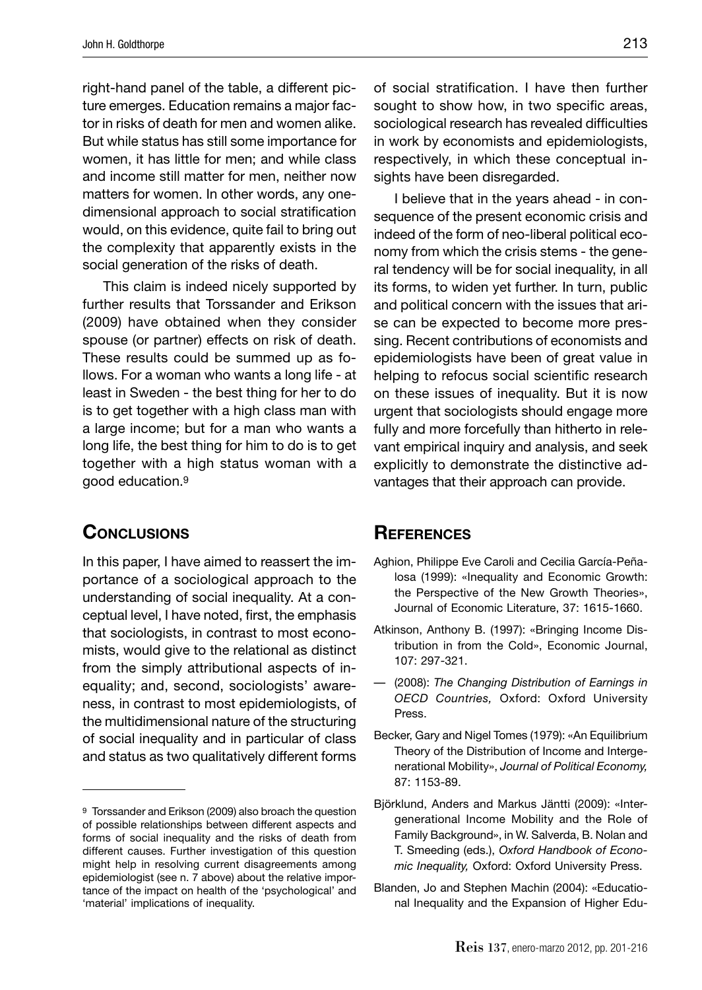right-hand panel of the table, a different picture emerges. Education remains a major factor in risks of death for men and women alike. But while status has still some importance for women, it has little for men; and while class and income still matter for men, neither now matters for women. In other words, any onedimensional approach to social stratification would, on this evidence, quite fail to bring out the complexity that apparently exists in the social generation of the risks of death.

This claim is indeed nicely supported by further results that Torssander and Erikson (2009) have obtained when they consider spouse (or partner) effects on risk of death. These results could be summed up as follows. For a woman who wants a long life - at least in Sweden - the best thing for her to do is to get together with a high class man with a large income; but for a man who wants a long life, the best thing for him to do is to get together with a high status woman with a good education.9

# **CONCLUSIONS**

In this paper, I have aimed to reassert the importance of a sociological approach to the understanding of social inequality. At a conceptual level, I have noted, first, the emphasis that sociologists, in contrast to most economists, would give to the relational as distinct from the simply attributional aspects of inequality; and, second, sociologists' awareness, in contrast to most epidemiologists, of the multidimensional nature of the structuring of social inequality and in particular of class and status as two qualitatively different forms of social stratification. I have then further sought to show how, in two specific areas, sociological research has revealed difficulties in work by economists and epidemiologists, respectively, in which these conceptual insights have been disregarded.

I believe that in the years ahead - in consequence of the present economic crisis and indeed of the form of neo-liberal political economy from which the crisis stems - the general tendency will be for social inequality, in all its forms, to widen yet further. In turn, public and political concern with the issues that arise can be expected to become more pressing. Recent contributions of economists and epidemiologists have been of great value in helping to refocus social scientific research on these issues of inequality. But it is now urgent that sociologists should engage more fully and more forcefully than hitherto in relevant empirical inquiry and analysis, and seek explicitly to demonstrate the distinctive advantages that their approach can provide.

# **REFERENCES**

- Aghion, Philippe Eve Caroli and Cecilia García-Peñalosa (1999): «Inequality and Economic Growth: the Perspective of the New Growth Theories», Journal of Economic Literature, 37: 1615-1660.
- Atkinson, Anthony B. (1997): «Bringing Income Distribution in from the Cold», Economic Journal, 107: 297-321.
- (2008): *The Changing Distribution of Earnings in OECD Countries,* Oxford: Oxford University Press.
- Becker, Gary and Nigel Tomes (1979): «An Equilibrium Theory of the Distribution of Income and Intergenerational Mobility», *Journal of Political Economy,*  87: 1153-89.
- Björklund, Anders and Markus Jäntti (2009): «Intergenerational Income Mobility and the Role of Family Background», in W. Salverda, B. Nolan and T. Smeeding (eds.), *Oxford Handbook of Economic Inequality,* Oxford: Oxford University Press.
- Blanden, Jo and Stephen Machin (2004): «Educational Inequality and the Expansion of Higher Edu-

<sup>9</sup> Torssander and Erikson (2009) also broach the question of possible relationships between different aspects and forms of social inequality and the risks of death from different causes. Further investigation of this question might help in resolving current disagreements among epidemiologist (see n. 7 above) about the relative importance of the impact on health of the 'psychological' and 'material' implications of inequality.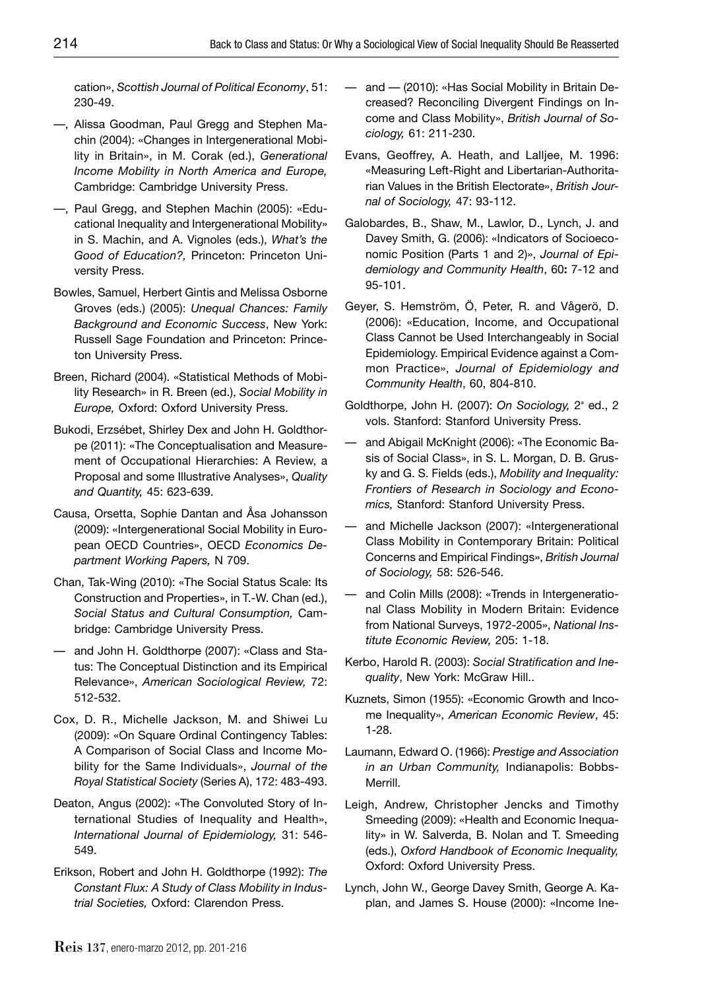cation», *Scottish Journal of Political Economy*, 51: 230-49.

- —, Alissa Goodman, Paul Gregg and Stephen Machin (2004): «Changes in Intergenerational Mobility in Britain», in M. Corak (ed.), *Generational Income Mobility in North America and Europe,* Cambridge: Cambridge University Press.
- —, Paul Gregg, and Stephen Machin (2005): «Educational Inequality and Intergenerational Mobility» in S. Machin, and A. Vignoles (eds.), *What's the Good of Education?,* Princeton: Princeton University Press.
- Bowles, Samuel, Herbert Gintis and Melissa Osborne Groves (eds.) (2005): *Unequal Chances: Family Background and Economic Success*, New York: Russell Sage Foundation and Princeton: Princeton University Press.
- Breen, Richard (2004). «Statistical Methods of Mobility Research» in R. Breen (ed.), *Social Mobility in Europe,* Oxford: Oxford University Press.
- Bukodi, Erzsébet, Shirley Dex and John H. Goldthorpe (2011): «The Conceptualisation and Measurement of Occupational Hierarchies: A Review, a Proposal and some Illustrative Analyses», *Quality and Quantity,* 45: 623-639.
- Causa, Orsetta, Sophie Dantan and Åsa Johansson (2009): «Intergenerational Social Mobility in European OECD Countries», OECD *Economics Department Working Papers,* N 709.
- Chan, Tak-Wing (2010): «The Social Status Scale: Its Construction and Properties», in T.-W. Chan (ed.), *Social Status and Cultural Consumption,* Cambridge: Cambridge University Press.
- and John H. Goldthorpe (2007): «Class and Status: The Conceptual Distinction and its Empirical Relevance», *American Sociological Review,* 72: 512-532.
- Cox, D. R., Michelle Jackson, M. and Shiwei Lu (2009): «On Square Ordinal Contingency Tables: A Comparison of Social Class and Income Mobility for the Same Individuals», *Journal of the Royal Statistical Society* (Series A), 172: 483-493.
- Deaton, Angus (2002): «The Convoluted Story of International Studies of Inequality and Health», *International Journal of Epidemiology,* 31: 546- 549.
- Erikson, Robert and John H. Goldthorpe (1992): *The Constant Flux: A Study of Class Mobility in Industrial Societies,* Oxford: Clarendon Press.
- and (2010): «Has Social Mobility in Britain Decreased? Reconciling Divergent Findings on Income and Class Mobility», *British Journal of Sociology,* 61: 211-230.
- Evans, Geoffrey, A. Heath, and Lalljee, M. 1996: «Measuring Left-Right and Libertarian-Authoritarian Values in the British Electorate», *British Journal of Sociology,* 47: 93-112.
- Galobardes, B., Shaw, M., Lawlor, D., Lynch, J. and Davey Smith, G. (2006): «Indicators of Socioeconomic Position (Parts 1 and 2)», *Journal of Epidemiology and Community Health*, 60**:** 7-12 and 95-101.
- Geyer, S. Hemström, Ö, Peter, R. and Vågerö, D. (2006): «Education, Income, and Occupational Class Cannot be Used Interchangeably in Social Epidemiology. Empirical Evidence against a Common Practice», *Journal of Epidemiology and Community Health*, 60, 804-810.
- Goldthorpe, John H. (2007): *On Sociology,* 2ª ed., 2 vols. Stanford: Stanford University Press.
- and Abigail McKnight (2006): «The Economic Basis of Social Class», in S. L. Morgan, D. B. Grusky and G. S. Fields (eds.), *Mobility and Inequality: Frontiers of Research in Sociology and Economics,* Stanford: Stanford University Press.
- and Michelle Jackson (2007): «Intergenerational Class Mobility in Contemporary Britain: Political Concerns and Empirical Findings», *British Journal of Sociology,* 58: 526-546.
- and Colin Mills (2008): «Trends in Intergenerational Class Mobility in Modern Britain: Evidence from National Surveys, 1972-2005», *National Institute Economic Review,* 205: 1-18.
- Kerbo, Harold R. (2003): Social Stratification and Ine*quality*, New York: McGraw Hill..
- Kuznets, Simon (1955): «Economic Growth and Income Inequality», *American Economic Review*, 45: 1-28.
- Laumann, Edward O. (1966): *Prestige and Association in an Urban Community,* Indianapolis: Bobbs-Merrill.
- Leigh, Andrew, Christopher Jencks and Timothy Smeeding (2009): «Health and Economic Inequality» in W. Salverda, B. Nolan and T. Smeeding (eds.), *Oxford Handbook of Economic Inequality,*  Oxford: Oxford University Press.
- Lynch, John W., George Davey Smith, George A. Kaplan, and James S. House (2000): «Income Ine-